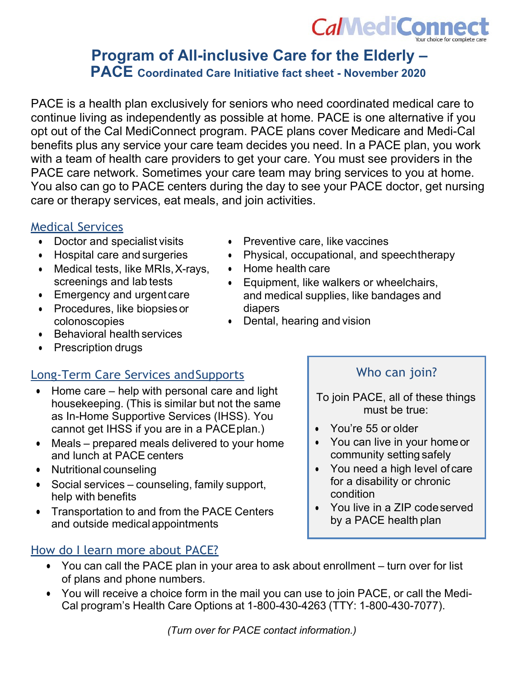

# **Program of All-inclusive Care for the Elderly – PACE Coordinated Care Initiative fact sheet - November 2020**

PACE is a health plan exclusively for seniors who need coordinated medical care to continue living as independently as possible at home. PACE is one alternative if you opt out of the Cal MediConnect program. PACE plans cover Medicare and Medi-Cal benefits plus any service your care team decides you need. In a PACE plan, you work with a team of health care providers to get your care. You must see providers in the PACE care network. Sometimes your care team may bring services to you at home. You also can go to PACE centers during the day to see your PACE doctor, get nursing care or therapy services, eat meals, and join activities.

# Medical Services

- Doctor and specialist visits
- Hospital care and surgeries
- Medical tests, like MRIs,X-rays, screenings and lab tests
- Emergency and urgent care
- Procedures, like biopsiesor colonoscopies
- Behavioral health services
- Prescription drugs

# Long-Term Care Services andSupports

- Home care help with personal care and light housekeeping. (This is similar but not the same as In-Home Supportive Services (IHSS). You cannot get IHSS if you are in a PACEplan.)
- Meals prepared meals delivered to your home and lunch at PACE centers
- Nutritional counseling
- Social services counseling, family support, help with benefits
- Transportation to and from the PACE Centers and outside medical appointments

# How do I learn more about PACE?

- Preventive care, like vaccines
- Physical, occupational, and speechtherapy
- Home health care
- Equipment, like walkers or wheelchairs, and medical supplies, like bandages and diapers
- Dental, hearing and vision

# Who can join?

To join PACE, all of these things must be true:

- You're 55 or older
- You can live in your home or community setting safely
- You need a high level of care for a disability or chronic condition
- You live in a ZIP codeserved by a PACE health plan
- You can call the PACE plan in your area to ask about enrollment turn over for list of plans and phone numbers.
- You will receive a choice form in the mail you can use to join PACE, or call the Medi-Cal program's Health Care Options at 1-800-430-4263 (TTY: 1-800-430-7077).

*(Turn over for PACE contact information.)*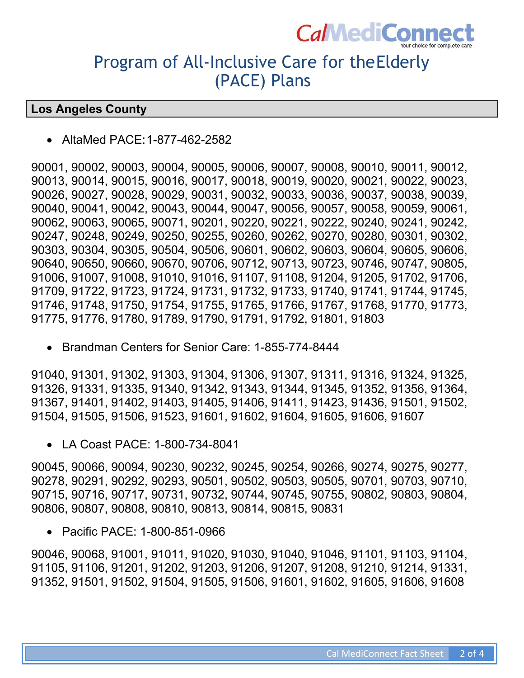

# Program of All-Inclusive Care for theElderly (PACE) Plans

# **Los Angeles County**

• AltaMed PACE:1-877-462-2582

90001, 90002, 90003, 90004, 90005, 90006, 90007, 90008, 90010, 90011, 90012, 90013, 90014, 90015, 90016, 90017, 90018, 90019, 90020, 90021, 90022, 90023, 90026, 90027, 90028, 90029, 90031, 90032, 90033, 90036, 90037, 90038, 90039, 90040, 90041, 90042, 90043, 90044, 90047, 90056, 90057, 90058, 90059, 90061, 90062, 90063, 90065, 90071, 90201, 90220, 90221, 90222, 90240, 90241, 90242, 90247, 90248, 90249, 90250, 90255, 90260, 90262, 90270, 90280, 90301, 90302, 90303, 90304, 90305, 90504, 90506, 90601, 90602, 90603, 90604, 90605, 90606, 90640, 90650, 90660, 90670, 90706, 90712, 90713, 90723, 90746, 90747, 90805, 91006, 91007, 91008, 91010, 91016, 91107, 91108, 91204, 91205, 91702, 91706, 91709, 91722, 91723, 91724, 91731, 91732, 91733, 91740, 91741, 91744, 91745, 91746, 91748, 91750, 91754, 91755, 91765, 91766, 91767, 91768, 91770, 91773, 91775, 91776, 91780, 91789, 91790, 91791, 91792, 91801, 91803

• Brandman Centers for Senior Care: 1-855-774-8444

91040, 91301, 91302, 91303, 91304, 91306, 91307, 91311, 91316, 91324, 91325, 91326, 91331, 91335, 91340, 91342, 91343, 91344, 91345, 91352, 91356, 91364, 91367, 91401, 91402, 91403, 91405, 91406, 91411, 91423, 91436, 91501, 91502, 91504, 91505, 91506, 91523, 91601, 91602, 91604, 91605, 91606, 91607

• LA Coast PACE: 1-800-734-8041

90045, 90066, 90094, 90230, 90232, 90245, 90254, 90266, 90274, 90275, 90277, 90278, 90291, 90292, 90293, 90501, 90502, 90503, 90505, 90701, 90703, 90710, 90715, 90716, 90717, 90731, 90732, 90744, 90745, 90755, 90802, 90803, 90804, 90806, 90807, 90808, 90810, 90813, 90814, 90815, 90831

• Pacific PACE: 1-800-851-0966

90046, 90068, 91001, 91011, 91020, 91030, 91040, 91046, 91101, 91103, 91104, 91105, 91106, 91201, 91202, 91203, 91206, 91207, 91208, 91210, 91214, 91331, 91352, 91501, 91502, 91504, 91505, 91506, 91601, 91602, 91605, 91606, 91608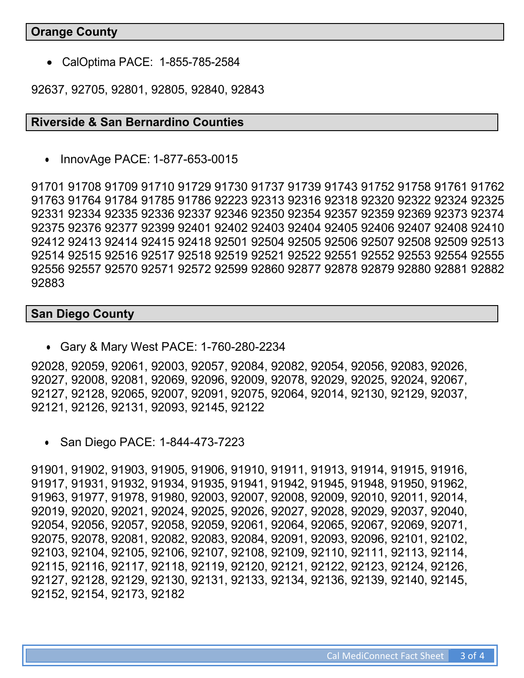## **Orange County**

• CalOptima PACE: 1-855-785-2584

92637, 92705, 92801, 92805, 92840, 92843

## **Riverside & San Bernardino Counties**

• InnovAge PACE: 1-877-653-0015

91701 91708 91709 91710 91729 91730 91737 91739 91743 91752 91758 91761 91762 91763 91764 91784 91785 91786 92223 92313 92316 92318 92320 92322 92324 92325 92331 92334 92335 92336 92337 92346 92350 92354 92357 92359 92369 92373 92374 92375 92376 92377 92399 92401 92402 92403 92404 92405 92406 92407 92408 92410 92412 92413 92414 92415 92418 92501 92504 92505 92506 92507 92508 92509 92513 92514 92515 92516 92517 92518 92519 92521 92522 92551 92552 92553 92554 92555 92556 92557 92570 92571 92572 92599 92860 92877 92878 92879 92880 92881 92882 92883

## **San Diego County**

• Gary & Mary West PACE: 1-760-280-2234

92028, 92059, 92061, 92003, 92057, 92084, 92082, 92054, 92056, 92083, 92026, 92027, 92008, 92081, 92069, 92096, 92009, 92078, 92029, 92025, 92024, 92067, 92127, 92128, 92065, 92007, 92091, 92075, 92064, 92014, 92130, 92129, 92037, 92121, 92126, 92131, 92093, 92145, 92122

• San Diego PACE: 1-844-473-7223

91901, 91902, 91903, 91905, 91906, 91910, 91911, 91913, 91914, 91915, 91916, 91917, 91931, 91932, 91934, 91935, 91941, 91942, 91945, 91948, 91950, 91962, 91963, 91977, 91978, 91980, 92003, 92007, 92008, 92009, 92010, 92011, 92014, 92019, 92020, 92021, 92024, 92025, 92026, 92027, 92028, 92029, 92037, 92040, 92054, 92056, 92057, 92058, 92059, 92061, 92064, 92065, 92067, 92069, 92071, 92075, 92078, 92081, 92082, 92083, 92084, 92091, 92093, 92096, 92101, 92102, 92103, 92104, 92105, 92106, 92107, 92108, 92109, 92110, 92111, 92113, 92114, 92115, 92116, 92117, 92118, 92119, 92120, 92121, 92122, 92123, 92124, 92126, 92127, 92128, 92129, 92130, 92131, 92133, 92134, 92136, 92139, 92140, 92145, 92152, 92154, 92173, 92182